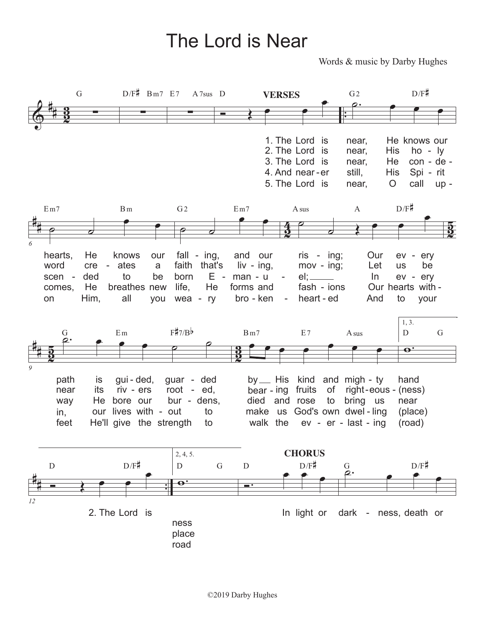## The Lord is Near

Words & music by Darby Hughes